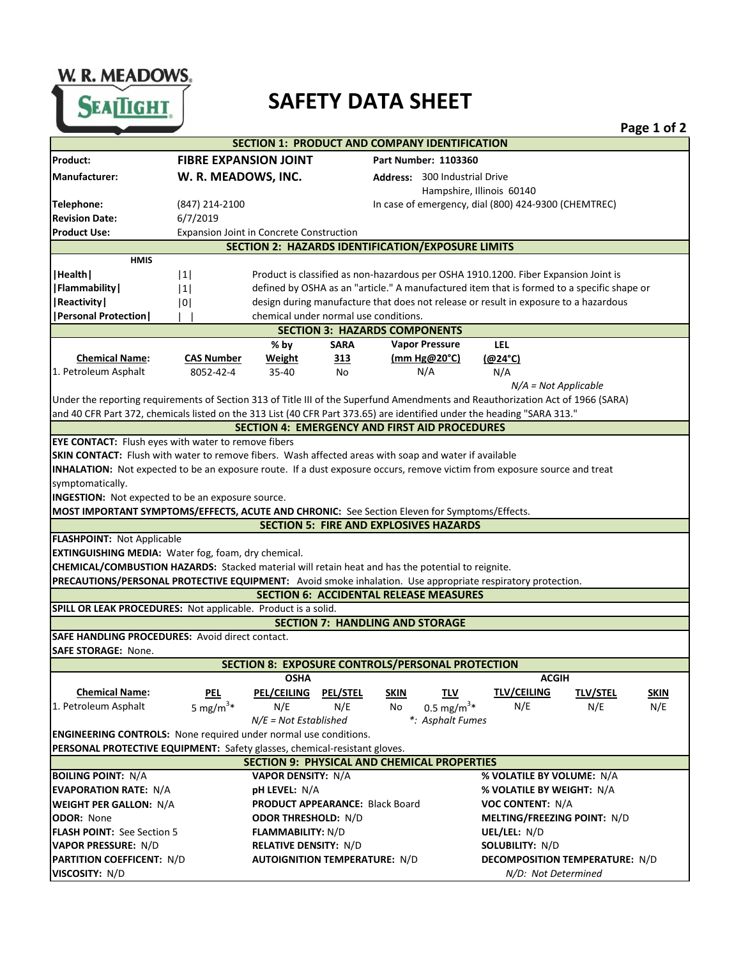W. R. MEADOWS SEATIGHT.

## **SAFETY DATA SHEET**

|                                                                                                                                 |                                                                                                  |                                                                                      |                 |                                                                                     |                                       |                 | Page 1 of 2 |
|---------------------------------------------------------------------------------------------------------------------------------|--------------------------------------------------------------------------------------------------|--------------------------------------------------------------------------------------|-----------------|-------------------------------------------------------------------------------------|---------------------------------------|-----------------|-------------|
|                                                                                                                                 |                                                                                                  |                                                                                      |                 | SECTION 1: PRODUCT AND COMPANY IDENTIFICATION                                       |                                       |                 |             |
| Product:                                                                                                                        | <b>FIBRE EXPANSION JOINT</b>                                                                     |                                                                                      |                 | Part Number: 1103360                                                                |                                       |                 |             |
| Manufacturer:                                                                                                                   | W. R. MEADOWS, INC.                                                                              |                                                                                      |                 | <b>Address: 300 Industrial Drive</b>                                                |                                       |                 |             |
|                                                                                                                                 |                                                                                                  |                                                                                      |                 |                                                                                     | Hampshire, Illinois 60140             |                 |             |
| Telephone:                                                                                                                      | (847) 214-2100                                                                                   |                                                                                      |                 | In case of emergency, dial (800) 424-9300 (CHEMTREC)                                |                                       |                 |             |
| <b>Revision Date:</b>                                                                                                           | 6/7/2019                                                                                         |                                                                                      |                 |                                                                                     |                                       |                 |             |
| <b>Product Use:</b>                                                                                                             | <b>Expansion Joint in Concrete Construction</b>                                                  |                                                                                      |                 |                                                                                     |                                       |                 |             |
|                                                                                                                                 |                                                                                                  |                                                                                      |                 | <b>SECTION 2: HAZARDS IDENTIFICATION/EXPOSURE LIMITS</b>                            |                                       |                 |             |
| <b>HMIS</b>                                                                                                                     |                                                                                                  |                                                                                      |                 |                                                                                     |                                       |                 |             |
| Health                                                                                                                          | 1                                                                                                |                                                                                      |                 | Product is classified as non-hazardous per OSHA 1910.1200. Fiber Expansion Joint is |                                       |                 |             |
| Flammability                                                                                                                    | defined by OSHA as an "article." A manufactured item that is formed to a specific shape or<br> 1 |                                                                                      |                 |                                                                                     |                                       |                 |             |
| Reactivity                                                                                                                      | 101                                                                                              | design during manufacture that does not release or result in exposure to a hazardous |                 |                                                                                     |                                       |                 |             |
| <b>  Personal Protection  </b>                                                                                                  |                                                                                                  | chemical under normal use conditions.                                                |                 |                                                                                     |                                       |                 |             |
|                                                                                                                                 |                                                                                                  |                                                                                      |                 | <b>SECTION 3: HAZARDS COMPONENTS</b>                                                |                                       |                 |             |
|                                                                                                                                 |                                                                                                  | % by                                                                                 | <b>SARA</b>     | <b>Vapor Pressure</b>                                                               | LEL                                   |                 |             |
| <b>Chemical Name:</b>                                                                                                           | <b>CAS Number</b>                                                                                | Weight                                                                               | 313             | (mm $Hg@20°C$ )                                                                     | $(@24^{\circ}C)$                      |                 |             |
| 1. Petroleum Asphalt                                                                                                            | 8052-42-4                                                                                        | $35 - 40$                                                                            | No              | N/A                                                                                 | N/A                                   |                 |             |
|                                                                                                                                 |                                                                                                  |                                                                                      |                 |                                                                                     | $N/A = Not Applicable$                |                 |             |
| Under the reporting requirements of Section 313 of Title III of the Superfund Amendments and Reauthorization Act of 1966 (SARA) |                                                                                                  |                                                                                      |                 |                                                                                     |                                       |                 |             |
| and 40 CFR Part 372, chemicals listed on the 313 List (40 CFR Part 373.65) are identified under the heading "SARA 313."         |                                                                                                  |                                                                                      |                 |                                                                                     |                                       |                 |             |
|                                                                                                                                 |                                                                                                  |                                                                                      |                 | <b>SECTION 4: EMERGENCY AND FIRST AID PROCEDURES</b>                                |                                       |                 |             |
| EYE CONTACT: Flush eyes with water to remove fibers                                                                             |                                                                                                  |                                                                                      |                 |                                                                                     |                                       |                 |             |
| SKIN CONTACT: Flush with water to remove fibers. Wash affected areas with soap and water if available                           |                                                                                                  |                                                                                      |                 |                                                                                     |                                       |                 |             |
| INHALATION: Not expected to be an exposure route. If a dust exposure occurs, remove victim from exposure source and treat       |                                                                                                  |                                                                                      |                 |                                                                                     |                                       |                 |             |
| symptomatically.                                                                                                                |                                                                                                  |                                                                                      |                 |                                                                                     |                                       |                 |             |
| INGESTION: Not expected to be an exposure source.                                                                               |                                                                                                  |                                                                                      |                 |                                                                                     |                                       |                 |             |
| MOST IMPORTANT SYMPTOMS/EFFECTS, ACUTE AND CHRONIC: See Section Eleven for Symptoms/Effects.                                    |                                                                                                  |                                                                                      |                 |                                                                                     |                                       |                 |             |
|                                                                                                                                 |                                                                                                  |                                                                                      |                 | <b>SECTION 5: FIRE AND EXPLOSIVES HAZARDS</b>                                       |                                       |                 |             |
| <b>FLASHPOINT: Not Applicable</b>                                                                                               |                                                                                                  |                                                                                      |                 |                                                                                     |                                       |                 |             |
| EXTINGUISHING MEDIA: Water fog, foam, dry chemical.                                                                             |                                                                                                  |                                                                                      |                 |                                                                                     |                                       |                 |             |
| CHEMICAL/COMBUSTION HAZARDS: Stacked material will retain heat and has the potential to reignite.                               |                                                                                                  |                                                                                      |                 |                                                                                     |                                       |                 |             |
| PRECAUTIONS/PERSONAL PROTECTIVE EQUIPMENT: Avoid smoke inhalation. Use appropriate respiratory protection.                      |                                                                                                  |                                                                                      |                 |                                                                                     |                                       |                 |             |
|                                                                                                                                 |                                                                                                  |                                                                                      |                 | <b>SECTION 6: ACCIDENTAL RELEASE MEASURES</b>                                       |                                       |                 |             |
| SPILL OR LEAK PROCEDURES: Not applicable. Product is a solid.                                                                   |                                                                                                  |                                                                                      |                 |                                                                                     |                                       |                 |             |
|                                                                                                                                 |                                                                                                  |                                                                                      |                 | <b>SECTION 7: HANDLING AND STORAGE</b>                                              |                                       |                 |             |
| <b>SAFE HANDLING PROCEDURES: Avoid direct contact.</b>                                                                          |                                                                                                  |                                                                                      |                 |                                                                                     |                                       |                 |             |
| <b>SAFE STORAGE: None.</b>                                                                                                      |                                                                                                  |                                                                                      |                 |                                                                                     |                                       |                 |             |
|                                                                                                                                 |                                                                                                  |                                                                                      |                 | SECTION 8: EXPOSURE CONTROLS/PERSONAL PROTECTION                                    |                                       |                 |             |
|                                                                                                                                 |                                                                                                  | <b>OSHA</b>                                                                          |                 |                                                                                     | <b>ACGIH</b>                          |                 |             |
| <b>Chemical Name:</b>                                                                                                           | <u>PEL</u>                                                                                       | <b>PEL/CEILING</b>                                                                   | <b>PEL/STEL</b> | <b>SKIN</b><br>TLV                                                                  | <b>TLV/CEILING</b>                    | <b>TLV/STEL</b> | <b>SKIN</b> |
| 1. Petroleum Asphalt                                                                                                            | 5 mg/m <sup>3*</sup>                                                                             | N/E                                                                                  | N/E             | $0.5 \text{ mg/m}^3*$<br>No                                                         | N/E                                   | N/E             | N/E         |
|                                                                                                                                 |                                                                                                  | $N/E = Not$ Established                                                              |                 | *: Asphalt Fumes                                                                    |                                       |                 |             |
| <b>ENGINEERING CONTROLS:</b> None required under normal use conditions.                                                         |                                                                                                  |                                                                                      |                 |                                                                                     |                                       |                 |             |
| PERSONAL PROTECTIVE EQUIPMENT: Safety glasses, chemical-resistant gloves.                                                       |                                                                                                  |                                                                                      |                 |                                                                                     |                                       |                 |             |
|                                                                                                                                 |                                                                                                  |                                                                                      |                 | <b>SECTION 9: PHYSICAL AND CHEMICAL PROPERTIES</b>                                  |                                       |                 |             |
| <b>BOILING POINT: N/A</b>                                                                                                       |                                                                                                  | <b>VAPOR DENSITY: N/A</b>                                                            |                 |                                                                                     | % VOLATILE BY VOLUME: N/A             |                 |             |
| <b>EVAPORATION RATE: N/A</b>                                                                                                    |                                                                                                  | <b>pH LEVEL: N/A</b>                                                                 |                 |                                                                                     | % VOLATILE BY WEIGHT: N/A             |                 |             |
| <b>WEIGHT PER GALLON: N/A</b>                                                                                                   |                                                                                                  | PRODUCT APPEARANCE: Black Board                                                      |                 |                                                                                     | <b>VOC CONTENT: N/A</b>               |                 |             |
| <b>ODOR: None</b>                                                                                                               |                                                                                                  | <b>ODOR THRESHOLD: N/D</b>                                                           |                 |                                                                                     | MELTING/FREEZING POINT: N/D           |                 |             |
| <b>FLASH POINT: See Section 5</b>                                                                                               |                                                                                                  | <b>FLAMMABILITY: N/D</b>                                                             |                 |                                                                                     | UEL/LEL: N/D                          |                 |             |
| <b>VAPOR PRESSURE: N/D</b>                                                                                                      |                                                                                                  | <b>RELATIVE DENSITY: N/D</b>                                                         |                 |                                                                                     | <b>SOLUBILITY: N/D</b>                |                 |             |
| <b>PARTITION COEFFICENT: N/D</b>                                                                                                |                                                                                                  | <b>AUTOIGNITION TEMPERATURE: N/D</b>                                                 |                 |                                                                                     | <b>DECOMPOSITION TEMPERATURE: N/D</b> |                 |             |
| VISCOSITY: N/D                                                                                                                  |                                                                                                  |                                                                                      |                 |                                                                                     | N/D: Not Determined                   |                 |             |